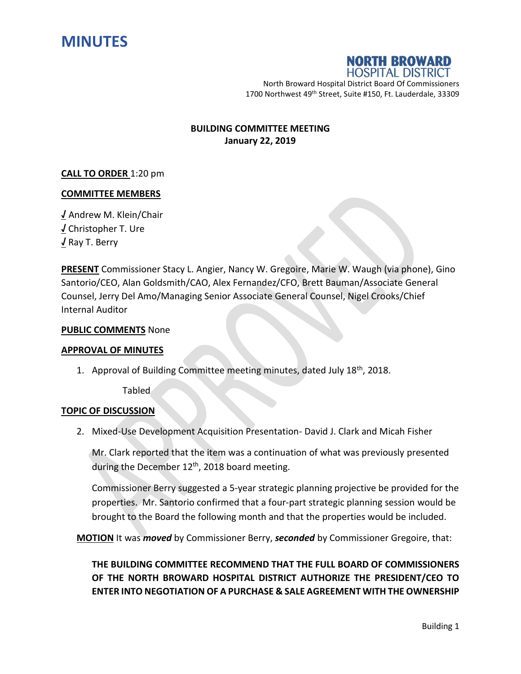



North Broward Hospital District Board Of Commissioners 1700 Northwest 49<sup>th</sup> Street, Suite #150, Ft. Lauderdale, 33309

## **BUILDING COMMITTEE MEETING January 22, 2019**

## **CALL TO ORDER** 1:20 pm

## **COMMITTEE MEMBERS**

**√** Andrew M. Klein/Chair **√** Christopher T. Ure **√** Ray T. Berry

**PRESENT** Commissioner Stacy L. Angier, Nancy W. Gregoire, Marie W. Waugh (via phone), Gino Santorio/CEO, Alan Goldsmith/CAO, Alex Fernandez/CFO, Brett Bauman/Associate General Counsel, Jerry Del Amo/Managing Senior Associate General Counsel, Nigel Crooks/Chief Internal Auditor

## **PUBLIC COMMENTS** None

#### **APPROVAL OF MINUTES**

1. Approval of Building Committee meeting minutes, dated July 18<sup>th</sup>, 2018.

Tabled

## **TOPIC OF DISCUSSION**

2. Mixed-Use Development Acquisition Presentation- David J. Clark and Micah Fisher

Mr. Clark reported that the item was a continuation of what was previously presented during the December 12<sup>th</sup>, 2018 board meeting.

Commissioner Berry suggested a 5-year strategic planning projective be provided for the properties. Mr. Santorio confirmed that a four-part strategic planning session would be brought to the Board the following month and that the properties would be included.

**MOTION** It was *moved* by Commissioner Berry, *seconded* by Commissioner Gregoire, that:

**THE BUILDING COMMITTEE RECOMMEND THAT THE FULL BOARD OF COMMISSIONERS OF THE NORTH BROWARD HOSPITAL DISTRICT AUTHORIZE THE PRESIDENT/CEO TO ENTER INTO NEGOTIATION OF A PURCHASE & SALE AGREEMENT WITH THE OWNERSHIP**